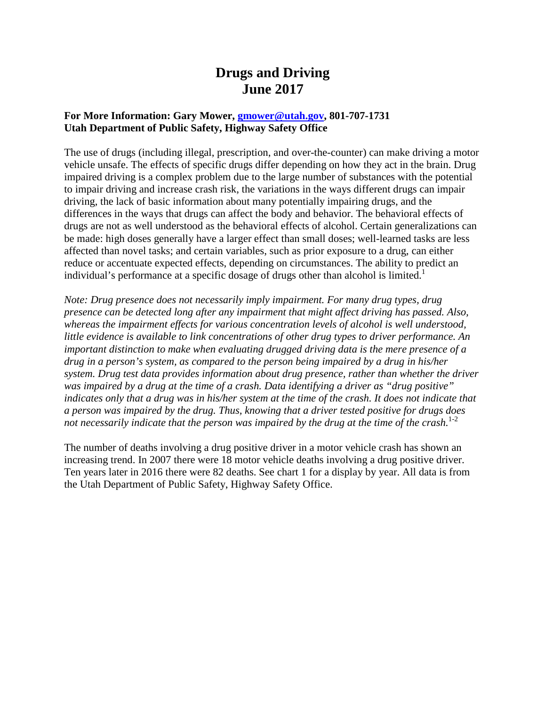# **Drugs and Driving June 2017**

## **For More Information: Gary Mower, [gmower@utah.gov,](mailto:gmower@utah.gov) 801-707-1731 Utah Department of Public Safety, Highway Safety Office**

The use of drugs (including illegal, prescription, and over-the-counter) can make driving a motor vehicle unsafe. The effects of specific drugs differ depending on how they act in the brain. Drug impaired driving is a complex problem due to the large number of substances with the potential to impair driving and increase crash risk, the variations in the ways different drugs can impair driving, the lack of basic information about many potentially impairing drugs, and the differences in the ways that drugs can affect the body and behavior. The behavioral effects of drugs are not as well understood as the behavioral effects of alcohol. Certain generalizations can be made: high doses generally have a larger effect than small doses; well-learned tasks are less affected than novel tasks; and certain variables, such as prior exposure to a drug, can either reduce or accentuate expected effects, depending on circumstances. The ability to predict an individual's performance at a specific dosage of drugs other than alcohol is limited.<sup>1</sup>

*Note: Drug presence does not necessarily imply impairment. For many drug types, drug presence can be detected long after any impairment that might affect driving has passed. Also, whereas the impairment effects for various concentration levels of alcohol is well understood, little evidence is available to link concentrations of other drug types to driver performance. An important distinction to make when evaluating drugged driving data is the mere presence of a drug in a person's system, as compared to the person being impaired by a drug in his/her system. Drug test data provides information about drug presence, rather than whether the driver was impaired by a drug at the time of a crash. Data identifying a driver as "drug positive" indicates only that a drug was in his/her system at the time of the crash. It does not indicate that a person was impaired by the drug. Thus, knowing that a driver tested positive for drugs does*  not necessarily indicate that the person was impaired by the drug at the time of the crash.<sup>1-2</sup>

The number of deaths involving a drug positive driver in a motor vehicle crash has shown an increasing trend. In 2007 there were 18 motor vehicle deaths involving a drug positive driver. Ten years later in 2016 there were 82 deaths. See chart 1 for a display by year. All data is from the Utah Department of Public Safety, Highway Safety Office.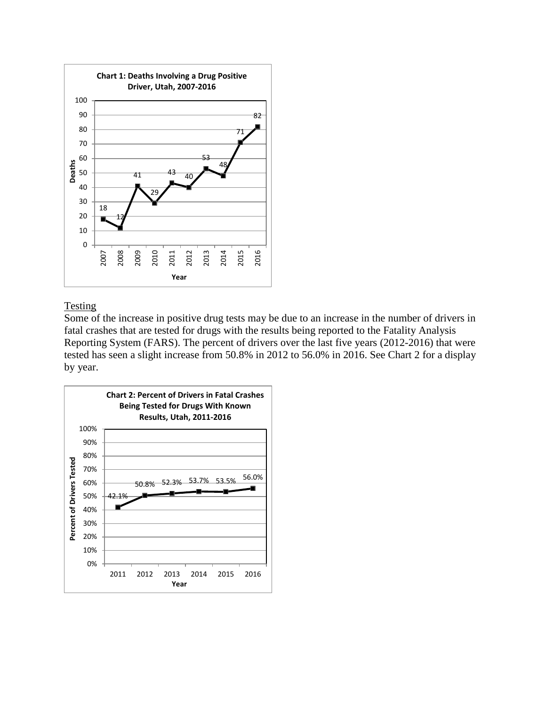

## **Testing**

Some of the increase in positive drug tests may be due to an increase in the number of drivers in fatal crashes that are tested for drugs with the results being reported to the Fatality Analysis Reporting System (FARS). The percent of drivers over the last five years (2012-2016) that were tested has seen a slight increase from 50.8% in 2012 to 56.0% in 2016. See Chart 2 for a display by year.

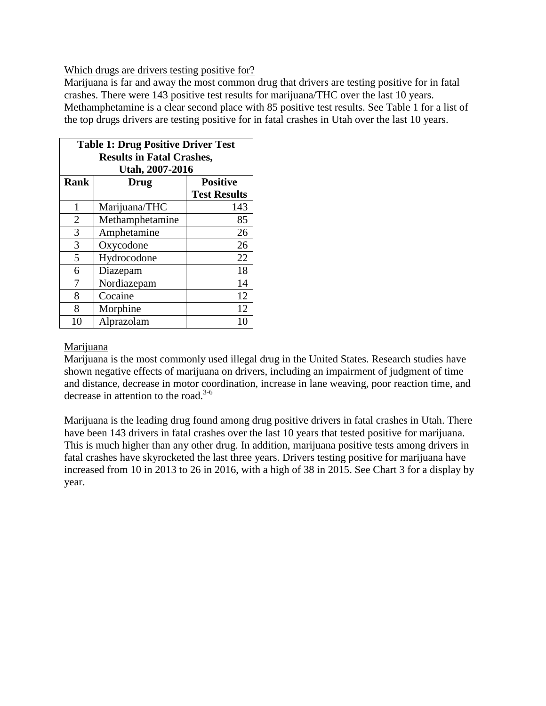## Which drugs are drivers testing positive for?

Marijuana is far and away the most common drug that drivers are testing positive for in fatal crashes. There were 143 positive test results for marijuana/THC over the last 10 years. Methamphetamine is a clear second place with 85 positive test results. See Table 1 for a list of the top drugs drivers are testing positive for in fatal crashes in Utah over the last 10 years.

| <b>Table 1: Drug Positive Driver Test</b><br><b>Results in Fatal Crashes,</b> |                 |                     |
|-------------------------------------------------------------------------------|-----------------|---------------------|
| Utah, 2007-2016                                                               |                 |                     |
| <b>Rank</b>                                                                   | Drug            | <b>Positive</b>     |
|                                                                               |                 | <b>Test Results</b> |
| 1                                                                             | Marijuana/THC   | 143                 |
| $\overline{2}$                                                                | Methamphetamine | 85                  |
| 3                                                                             | Amphetamine     | 26                  |
| 3                                                                             | Oxycodone       | 26                  |
| 5                                                                             | Hydrocodone     | 22                  |
| 6                                                                             | Diazepam        | 18                  |
| 7                                                                             | Nordiazepam     | 14                  |
| 8                                                                             | Cocaine         | 12                  |
| 8                                                                             | Morphine        | 12                  |
| 10                                                                            | Alprazolam      | 10                  |

## Marijuana

Marijuana is the most commonly used illegal drug in the United States. Research studies have shown negative effects of marijuana on drivers, including an impairment of judgment of time and distance, decrease in motor coordination, increase in lane weaving, poor reaction time, and decrease in attention to the road. $3-6$ 

Marijuana is the leading drug found among drug positive drivers in fatal crashes in Utah. There have been 143 drivers in fatal crashes over the last 10 years that tested positive for marijuana. This is much higher than any other drug. In addition, marijuana positive tests among drivers in fatal crashes have skyrocketed the last three years. Drivers testing positive for marijuana have increased from 10 in 2013 to 26 in 2016, with a high of 38 in 2015. See Chart 3 for a display by year.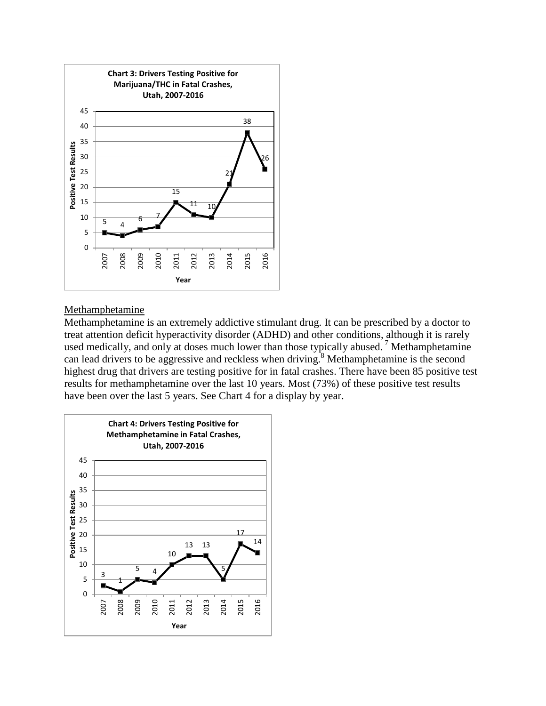

## Methamphetamine

Methamphetamine is an extremely addictive stimulant drug. It can be prescribed by a doctor to treat attention deficit hyperactivity disorder (ADHD) and other conditions, although it is rarely used medically, and only at doses much lower than those typically abused.<sup>7</sup> Methamphetamine can lead drivers to be aggressive and reckless when driving.<sup>8</sup> Methamphetamine is the second highest drug that drivers are testing positive for in fatal crashes. There have been 85 positive test results for methamphetamine over the last 10 years. Most (73%) of these positive test results have been over the last 5 years. See Chart 4 for a display by year.

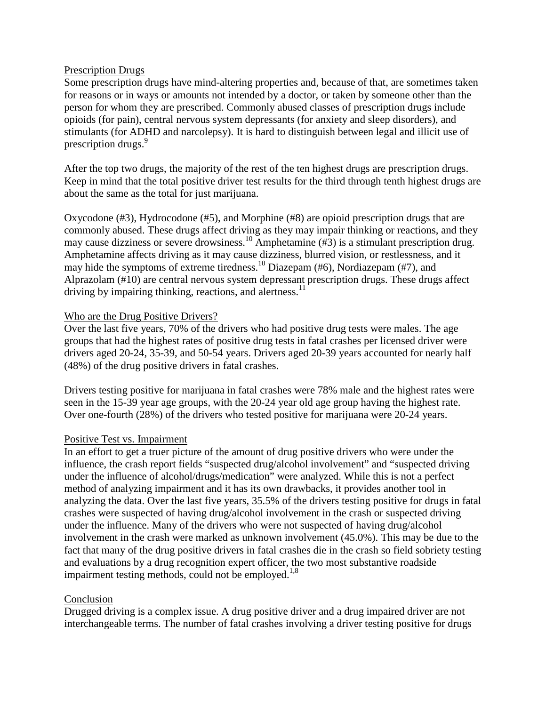### Prescription Drugs

Some prescription drugs have mind-altering properties and, because of that, are sometimes taken for reasons or in ways or amounts not intended by a doctor, or taken by someone other than the person for whom they are prescribed. Commonly abused classes of prescription drugs include opioids (for pain), central nervous system depressants (for anxiety and sleep disorders), and stimulants (for ADHD and narcolepsy). It is hard to distinguish between legal and illicit use of prescription drugs. 9

After the top two drugs, the majority of the rest of the ten highest drugs are prescription drugs. Keep in mind that the total positive driver test results for the third through tenth highest drugs are about the same as the total for just marijuana.

Oxycodone (#3), Hydrocodone (#5), and Morphine (#8) are opioid prescription drugs that are commonly abused. These drugs affect driving as they may impair thinking or reactions, and they may cause dizziness or severe drowsiness.<sup>10</sup> Amphetamine (#3) is a stimulant prescription drug. Amphetamine affects driving as it may cause dizziness, blurred vision, or restlessness, and it may hide the symptoms of extreme tiredness.10 Diazepam (#6), Nordiazepam (#7), and Alprazolam (#10) are central nervous system depressant prescription drugs. These drugs affect driving by impairing thinking, reactions, and alertness. $^{11}$ 

### Who are the Drug Positive Drivers?

Over the last five years, 70% of the drivers who had positive drug tests were males. The age groups that had the highest rates of positive drug tests in fatal crashes per licensed driver were drivers aged 20-24, 35-39, and 50-54 years. Drivers aged 20-39 years accounted for nearly half (48%) of the drug positive drivers in fatal crashes.

Drivers testing positive for marijuana in fatal crashes were 78% male and the highest rates were seen in the 15-39 year age groups, with the 20-24 year old age group having the highest rate. Over one-fourth (28%) of the drivers who tested positive for marijuana were 20-24 years.

## Positive Test vs. Impairment

In an effort to get a truer picture of the amount of drug positive drivers who were under the influence, the crash report fields "suspected drug/alcohol involvement" and "suspected driving under the influence of alcohol/drugs/medication" were analyzed. While this is not a perfect method of analyzing impairment and it has its own drawbacks, it provides another tool in analyzing the data. Over the last five years, 35.5% of the drivers testing positive for drugs in fatal crashes were suspected of having drug/alcohol involvement in the crash or suspected driving under the influence. Many of the drivers who were not suspected of having drug/alcohol involvement in the crash were marked as unknown involvement (45.0%). This may be due to the fact that many of the drug positive drivers in fatal crashes die in the crash so field sobriety testing and evaluations by a drug recognition expert officer, the two most substantive roadside impairment testing methods, could not be employed.<sup>1,8</sup>

### Conclusion

Drugged driving is a complex issue. A drug positive driver and a drug impaired driver are not interchangeable terms. The number of fatal crashes involving a driver testing positive for drugs